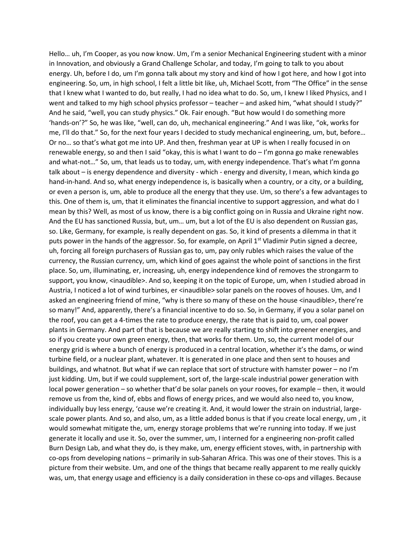Hello… uh, I'm Cooper, as you now know. Um, I'm a senior Mechanical Engineering student with a minor in Innovation, and obviously a Grand Challenge Scholar, and today, I'm going to talk to you about energy. Uh, before I do, um I'm gonna talk about my story and kind of how I got here, and how I got into engineering. So, um, in high school, I felt a little bit like, uh, Michael Scott, from "The Office" in the sense that I knew what I wanted to do, but really, I had no idea what to do. So, um, I knew I liked Physics, and I went and talked to my high school physics professor – teacher – and asked him, "what should I study?" And he said, "well, you can study physics." Ok. Fair enough. "But how would I do something more 'hands-on'?" So, he was like, "well, can do, uh, mechanical engineering." And I was like, "ok, works for me, I'll do that." So, for the next four years I decided to study mechanical engineering, um, but, before… Or no… so that's what got me into UP. And then, freshman year at UP is when I really focused in on renewable energy, so and then I said "okay, this is what I want to do – I'm gonna go make renewables and what-not…" So, um, that leads us to today, um, with energy independence. That's what I'm gonna talk about – is energy dependence and diversity - which - energy and diversity, I mean, which kinda go hand-in-hand. And so, what energy independence is, is basically when a country, or a city, or a building, or even a person is, um, able to produce all the energy that they use. Um, so there's a few advantages to this. One of them is, um, that it eliminates the financial incentive to support aggression, and what do I mean by this? Well, as most of us know, there is a big conflict going on in Russia and Ukraine right now. And the EU has sanctioned Russia, but, um… um, but a lot of the EU is also dependent on Russian gas, so. Like, Germany, for example, is really dependent on gas. So, it kind of presents a dilemma in that it puts power in the hands of the aggressor. So, for example, on April  $1^{st}$  Vladimir Putin signed a decree, uh, forcing all foreign purchasers of Russian gas to, um, pay only rubles which raises the value of the currency, the Russian currency, um, which kind of goes against the whole point of sanctions in the first place. So, um, illuminating, er, increasing, uh, energy independence kind of removes the strongarm to support, you know, <inaudible>. And so, keeping it on the topic of Europe, um, when I studied abroad in Austria, I noticed a lot of wind turbines, er <inaudible> solar panels on the rooves of houses. Um, and I asked an engineering friend of mine, "why is there so many of these on the house <inaudible>, there're so many!" And, apparently, there's a financial incentive to do so. So, in Germany, if you a solar panel on the roof, you can get a 4-times the rate to produce energy, the rate that is paid to, um, coal power plants in Germany. And part of that is because we are really starting to shift into greener energies, and so if you create your own green energy, then, that works for them. Um, so, the current model of our energy grid is where a bunch of energy is produced in a central location, whether it's the dams, or wind turbine field, or a nuclear plant, whatever. It is generated in one place and then sent to houses and buildings, and whatnot. But what if we can replace that sort of structure with hamster power – no I'm just kidding. Um, but if we could supplement, sort of, the large-scale industrial power generation with local power generation – so whether that'd be solar panels on your rooves, for example – then, it would remove us from the, kind of, ebbs and flows of energy prices, and we would also need to, you know, individually buy less energy, 'cause we're creating it. And, it would lower the strain on industrial, largescale power plants. And so, and also, um, as a little added bonus is that if you create local energy, um , it would somewhat mitigate the, um, energy storage problems that we're running into today. If we just generate it locally and use it. So, over the summer, um, I interned for a engineering non-profit called Burn Design Lab, and what they do, is they make, um, energy efficient stoves, with, in partnership with co-ops from developing nations – primarily in sub-Saharan Africa. This was one of their stoves. This is a picture from their website. Um, and one of the things that became really apparent to me really quickly was, um, that energy usage and efficiency is a daily consideration in these co-ops and villages. Because